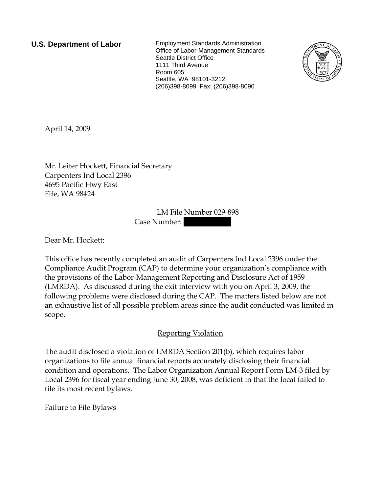**U.S. Department of Labor** Employment Standards Administration Office of Labor-Management Standards Seattle District Office 1111 Third Avenue Room 605 Seattle, WA 98101-3212 (206)398-8099 Fax: (206)398-8090



April 14, 2009

Mr. Leiter Hockett, Financial Secretary Carpenters Ind Local 2396 4695 Pacific Hwy East Fife, WA 98424

> LM File Number 029-898 Case Number:

Dear Mr. Hockett:

This office has recently completed an audit of Carpenters Ind Local 2396 under the Compliance Audit Program (CAP) to determine your organization's compliance with the provisions of the Labor-Management Reporting and Disclosure Act of 1959 (LMRDA). As discussed during the exit interview with you on April 3, 2009, the following problems were disclosed during the CAP. The matters listed below are not an exhaustive list of all possible problem areas since the audit conducted was limited in scope.

## Reporting Violation

The audit disclosed a violation of LMRDA Section 201(b), which requires labor organizations to file annual financial reports accurately disclosing their financial condition and operations. The Labor Organization Annual Report Form LM-3 filed by Local 2396 for fiscal year ending June 30, 2008, was deficient in that the local failed to file its most recent bylaws.

Failure to File Bylaws